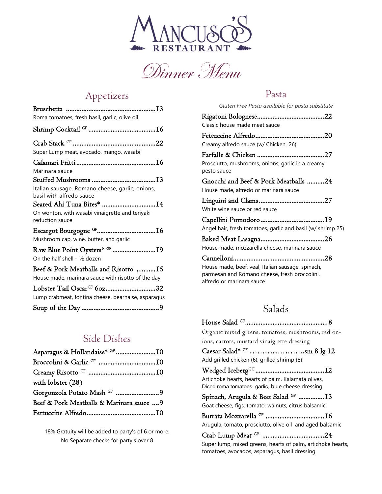

Dinner Menu

# Appetizers

| Roma tomatoes, fresh basil, garlic, olive oil                                                 |
|-----------------------------------------------------------------------------------------------|
|                                                                                               |
|                                                                                               |
| Super Lump meat, avocado, mango, wasabi                                                       |
| Marinara sauce                                                                                |
|                                                                                               |
| Italian sausage, Romano cheese, garlic, onions,<br>basil with alfredo sauce                   |
| Seared Ahi Tuna Bites* 14                                                                     |
| On wonton, with wasabi vinaigrette and teriyaki<br>reduction sauce                            |
|                                                                                               |
| Mushroom cap, wine, butter, and garlic                                                        |
| Raw Blue Point Oysters* F 19<br>On the half shell - 1/2 dozen                                 |
| Beef & Pork Meatballs and Risotto 15<br>House made, marinara sauce with risotto of the day    |
| Lobster Tail Oscar <sup>GF</sup> 60z32<br>Lump crabmeat, fontina cheese, béarnaise, asparagus |
|                                                                                               |

# Side Dishes

| with lobster $(28)$                       |
|-------------------------------------------|
|                                           |
| Beef & Pork Meatballs & Marinara sauce  9 |
|                                           |

18% Gratuity will be added to party's of 6 or more. No Separate checks for party's over 8

## Pasta

| Gluten Free Pasta available for pasta substitute                                                                                |  |
|---------------------------------------------------------------------------------------------------------------------------------|--|
|                                                                                                                                 |  |
| Classic house made meat sauce                                                                                                   |  |
|                                                                                                                                 |  |
| Creamy alfredo sauce (w/ Chicken 26)                                                                                            |  |
|                                                                                                                                 |  |
| Prosciutto, mushrooms, onions, garlic in a creamy<br>pesto sauce                                                                |  |
| Gnocchi and Beef & Pork Meatballs 24                                                                                            |  |
| House made, alfredo or marinara sauce                                                                                           |  |
|                                                                                                                                 |  |
| White wine sauce or red sauce                                                                                                   |  |
|                                                                                                                                 |  |
| Angel hair, fresh tomatoes, garlic and basil (w/ shrimp 25)                                                                     |  |
|                                                                                                                                 |  |
| House made, mozzarella cheese, marinara sauce                                                                                   |  |
|                                                                                                                                 |  |
| House made, beef, veal, Italian sausage, spinach,<br>parmesan and Romano cheese, fresh broccolini,<br>alfredo or marinara sauce |  |

# Salads

House Salad GF ................................................ 8

Organic mixed greens, tomatoes, mushrooms, red onions, carrots, mustard vinaigrette dressing

Caesar Salad\* <sup>GF</sup> .........................sm 8 lg I2 Add grilled chicken (6), grilled shrimp (8)

Wedged Iceberg G F ........................................ 12 Artichoke hearts, hearts of palm, Kalamata olives, Diced roma tomatoes, garlic, blue cheese dressing

### Spinach, Arugula & Beet Salad GF ............... 13 Goat cheese, figs, tomato, walnuts, citrus balsamic

Burrata Mozzarella GF .................................. 16 Arugula, tomato, prosciutto, olive oil and aged balsamic

Crab Lump Meat GF .................................... 24 Super lump, mixed greens, hearts of palm, artichoke hearts, tomatoes, avocados, asparagus, basil dressing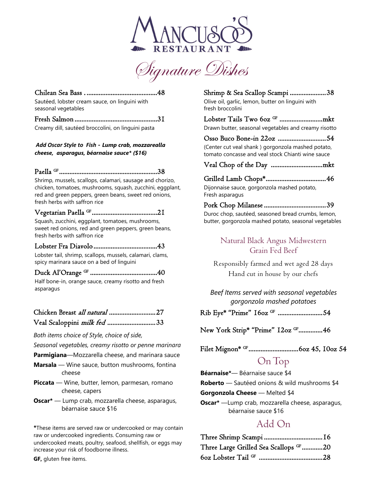

Signature Dishes

### Chilean Sea Bass . .........................................48

Sautéed, lobster cream sauce, on linguini with seasonal vegetables

Fresh Salmon ................................................31 Creamy dill, sautéed broccolini, on linguini pasta

*Add Oscar Style to Fish - Lump crab, mozzarealla cheese, asparagus, béarnaise sauce\* (\$16)*

## Paella GF .........................................................38

Shrimp, mussels, scallops, calamari, sausage and chorizo, chicken, tomatoes, mushrooms, squash, zucchini, eggplant, red and green peppers, green beans, sweet red onions, fresh herbs with saffron rice

### Vegetarian Paella GF ......................................21

Squash, zucchini, eggplant, tomatoes, mushrooms, sweet red onions, red and green peppers, green beans, fresh herbs with saffron rice

#### Lobster Fra Diavolo .....................................43

Lobster tail, shrimp, scallops, mussels, calamari, clams, spicy marinara sauce on a bed of linguini

#### Duck Al'Orange GF .......................................40 Half bone-in, orange sauce, creamy risotto and fresh asparagus

|  |  | Chicken Breast <i>all natural </i> 27 |
|--|--|---------------------------------------|
|  |  |                                       |

## Veal Scaloppini *milk fed* ............................33

*Both items choice of Style, choice of side,* 

*Seasonal vegetables, creamy risotto or penne marinara*

- **Parmigiana**—Mozzarella cheese, and marinara sauce
- **Marsala**  Wine sauce, button mushrooms, fontina cheese
- **Piccata**  Wine, butter, lemon, parmesan, romano cheese, capers
- **Oscar\***  Lump crab, mozzarella cheese, asparagus, béarnaise sauce \$16

**\***These items are served raw or undercooked or may contain raw or undercooked ingredients. Consuming raw or undercooked meats, poultry, seafood, shellfish, or eggs may increase your risk of foodborne illness.

**GF,** gluten free items.

#### Shrimp & Sea Scallop Scampi ..................... 38 Olive oil, garlic, lemon, butter on linguini with fresh broccolini

### Lobster Tails Two 6oz GF ......................... mkt Drawn butter, seasonal vegetables and creamy risotto

#### Osso Buco Bone-in 22oz ............................ 54 (Center cut veal shank ) gorgonzola mashed potato, tomato concasse and veal stock Chianti wine sauce

Veal Chop of the Day .............................. mkt

## Grilled Lamb Chops\* ................................... 46 Dijonnaise sauce, gorgonzola mashed potato,

Fresh asparagus

## Pork Chop Milanese .................................... 39

Duroc chop, sautéed, seasoned bread crumbs, lemon, butter, gorgonzola mashed potato, seasonal vegetables

## Natural Black Angus Midwestern Grain Fed Beef

Responsibly farmed and wet aged 28 days Hand cut in house by our chefs

*Beef Items served with seasonal vegetables gorgonzola mashed potatoes* 

Rib Eye\* "Prime" 16oz GF .......................... 54

New York Strip\* "Prime" 12oz GF .............. 46

## Filet Mignon\* F ................................60z 45, 10oz 54

## On Top

**Béarnaise\***— Béarnaise sauce \$4

**Roberto** — Sautéed onions & wild mushrooms \$4

### **Gorgonzola Cheese** — Melted \$4

**Oscar\*** —Lump crab, mozzarella cheese, asparagus, béarnaise sauce \$16

## Add On

| Three Large Grilled Sea Scallops & 20 |  |
|---------------------------------------|--|
|                                       |  |